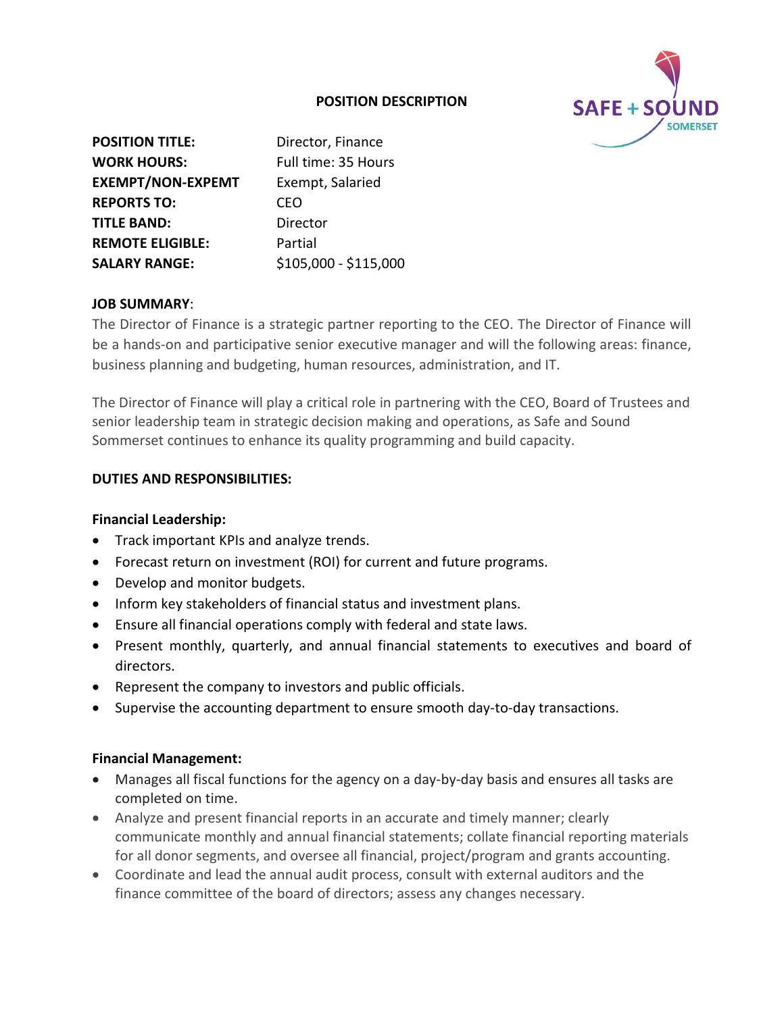## **POSITION DESCRIPTION**



| <b>POSITION TITLE:</b>   | Director, Finance     |
|--------------------------|-----------------------|
|                          |                       |
| <b>WORK HOURS:</b>       | Full time: 35 Hours   |
| <b>EXEMPT/NON-EXPEMT</b> | Exempt, Salaried      |
| <b>REPORTS TO:</b>       | CEO                   |
| <b>TITLE BAND:</b>       | Director              |
| <b>REMOTE ELIGIBLE:</b>  | Partial               |
| <b>SALARY RANGE:</b>     | \$105,000 - \$115,000 |
|                          |                       |

## **JOB SUMMARY**:

The Director of Finance is a strategic partner reporting to the CEO. The Director of Finance will be a hands-on and participative senior executive manager and will the following areas: finance, business planning and budgeting, human resources, administration, and IT.

The Director of Finance will play a critical role in partnering with the CEO, Board of Trustees and senior leadership team in strategic decision making and operations, as Safe and Sound Sommerset continues to enhance its quality programming and build capacity.

## **DUTIES AND RESPONSIBILITIES:**

## **Financial Leadership:**

- Track important KPIs and analyze trends.
- Forecast return on investment (ROI) for current and future programs.
- Develop and monitor budgets.
- Inform key stakeholders of financial status and investment plans.
- Ensure all financial operations comply with federal and state laws.
- Present monthly, quarterly, and annual financial statements to executives and board of directors.
- Represent the company to investors and public officials.
- Supervise the accounting department to ensure smooth day-to-day transactions.

## **Financial Management:**

- Manages all fiscal functions for the agency on a day-by-day basis and ensures all tasks are completed on time.
- Analyze and present financial reports in an accurate and timely manner; clearly communicate monthly and annual financial statements; collate financial reporting materials for all donor segments, and oversee all financial, project/program and grants accounting.
- Coordinate and lead the annual audit process, consult with external auditors and the finance committee of the board of directors; assess any changes necessary.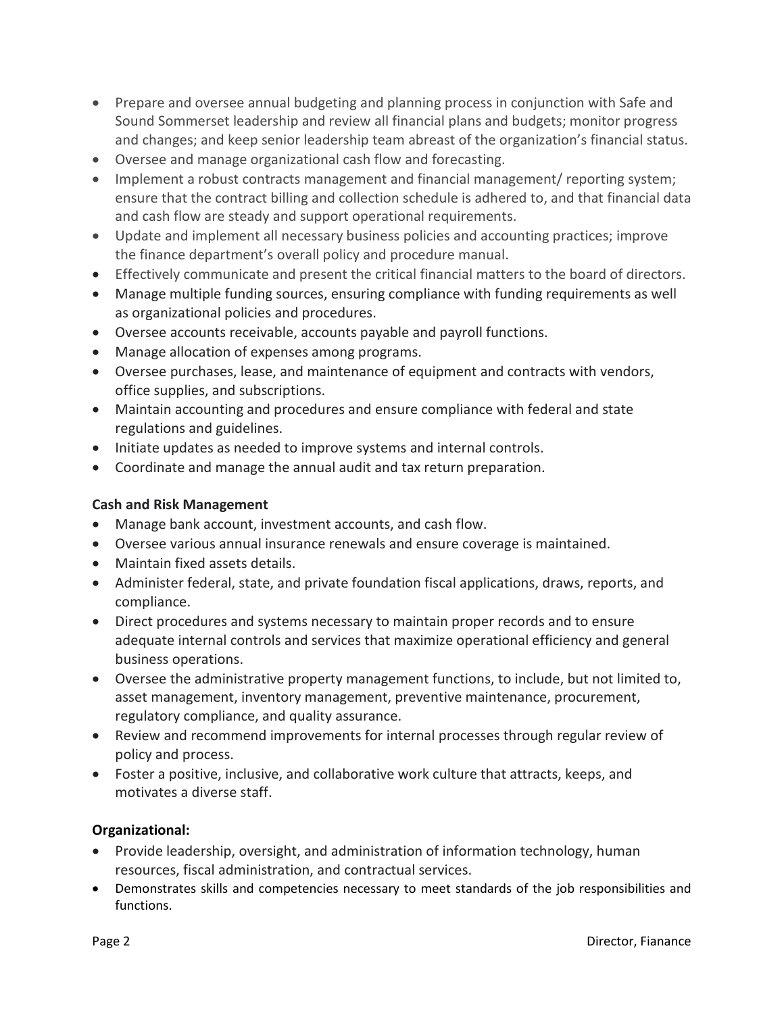- Prepare and oversee annual budgeting and planning process in conjunction with Safe and Sound Sommerset leadership and review all financial plans and budgets; monitor progress and changes; and keep senior leadership team abreast of the organization's financial status.
- Oversee and manage organizational cash flow and forecasting.
- Implement a robust contracts management and financial management/ reporting system; ensure that the contract billing and collection schedule is adhered to, and that financial data and cash flow are steady and support operational requirements.
- Update and implement all necessary business policies and accounting practices; improve the finance department's overall policy and procedure manual.
- Effectively communicate and present the critical financial matters to the board of directors.
- Manage multiple funding sources, ensuring compliance with funding requirements as well as organizational policies and procedures.
- Oversee accounts receivable, accounts payable and payroll functions.
- Manage allocation of expenses among programs.
- Oversee purchases, lease, and maintenance of equipment and contracts with vendors, office supplies, and subscriptions.
- Maintain accounting and procedures and ensure compliance with federal and state regulations and guidelines.
- Initiate updates as needed to improve systems and internal controls.
- Coordinate and manage the annual audit and tax return preparation.

# **Cash and Risk Management**

- Manage bank account, investment accounts, and cash flow.
- Oversee various annual insurance renewals and ensure coverage is maintained.
- Maintain fixed assets details.
- Administer federal, state, and private foundation fiscal applications, draws, reports, and compliance.
- Direct procedures and systems necessary to maintain proper records and to ensure adequate internal controls and services that maximize operational efficiency and general business operations.
- Oversee the administrative property management functions, to include, but not limited to, asset management, inventory management, preventive maintenance, procurement, regulatory compliance, and quality assurance.
- Review and recommend improvements for internal processes through regular review of policy and process.
- Foster a positive, inclusive, and collaborative work culture that attracts, keeps, and motivates a diverse staff.

## **Organizational:**

- Provide leadership, oversight, and administration of information technology, human resources, fiscal administration, and contractual services.
- Demonstrates skills and competencies necessary to meet standards of the job responsibilities and functions.